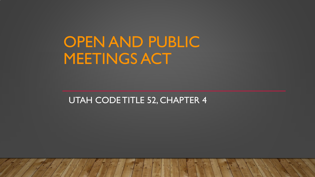OPEN AND PUBLIC MEETINGS ACT

UTAH CODE TITLE 52, CHAPTER 4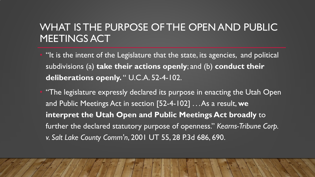## WHAT IS THE PURPOSE OF THE OPEN AND PUBLIC MEETINGS ACT

- "It is the intent of the Legislature that the state, its agencies, and political subdivisions (a) **take their actions openly**; and (b) **conduct their deliberations openly.** " U.C.A. 52-4-102.
- "The legislature expressly declared its purpose in enacting the Utah Open and Public Meetings Act in section [52-4-102] . . . As a result, **we interpret the Utah Open and Public Meetings Act broadly** to further the declared statutory purpose of openness." *Kearns-Tribune Corp. v. Salt Lake County Comm'n*, 2001 UT 55, 28 P.3d 686, 690.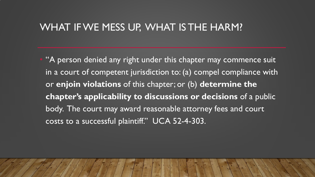#### WHAT IF WE MESS UP, WHAT IS THE HARM?

• "A person denied any right under this chapter may commence suit in a court of competent jurisdiction to: (a) compel compliance with or **enjoin violations** of this chapter; or (b) **determine the chapter's applicability to discussions or decisions** of a public body. The court may award reasonable attorney fees and court costs to a successful plaintiff." UCA 52-4-303.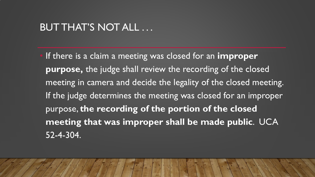### BUT THAT'S NOT ALL ...

• If there is a claim a meeting was closed for an **improper purpose,** the judge shall review the recording of the closed meeting in camera and decide the legality of the closed meeting. If the judge determines the meeting was closed for an improper purpose, **the recording of the portion of the closed meeting that was improper shall be made public**. UCA 52-4-304.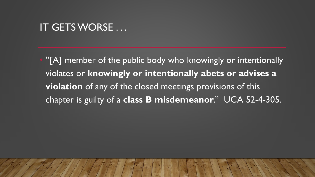#### IT GETS WORSE ...

"[A] member of the public body who knowingly or intentionally violates or **knowingly or intentionally abets or advises a violation** of any of the closed meetings provisions of this chapter is guilty of a **class B misdemeanor**." UCA 52-4-305.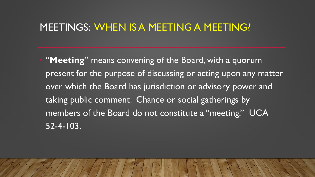### MEETINGS: WHEN IS A MEETING A MEETING?

• "**Meeting**" means convening of the Board, with a quorum present for the purpose of discussing or acting upon any matter over which the Board has jurisdiction or advisory power and taking public comment. Chance or social gatherings by members of the Board do not constitute a "meeting." UCA 52-4-103.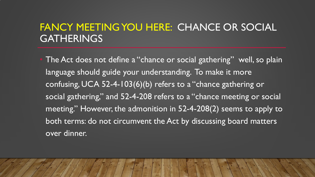# FANCY MEETING YOU HERE: CHANCE OR SOCIAL GATHERINGS

The Act does not define a "chance or social gathering" well, so plain language should guide your understanding. To make it more confusing, UCA 52-4-103(6)(b) refers to a "chance gathering or social gathering," and 52-4-208 refers to a "chance meeting or social meeting." However, the admonition in 52-4-208(2) seems to apply to both terms: do not circumvent the Act by discussing board matters over dinner.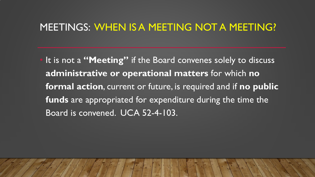#### MEETINGS: WHEN IS A MEETING NOT A MEETING?

• It is not a **"Meeting"** if the Board convenes solely to discuss **administrative or operational matters** for which **no formal action**, current or future, is required and if **no public funds** are appropriated for expenditure during the time the Board is convened. UCA 52-4-103.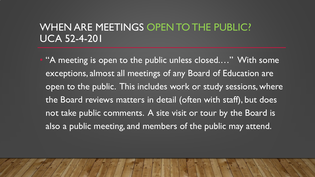## WHEN ARE MEETINGS OPEN TO THE PUBLIC? UCA 52-4-201

"A meeting is open to the public unless closed...." With some exceptions, almost all meetings of any Board of Education are open to the public. This includes work or study sessions, where the Board reviews matters in detail (often with staff), but does not take public comments. A site visit or tour by the Board is also a public meeting, and members of the public may attend.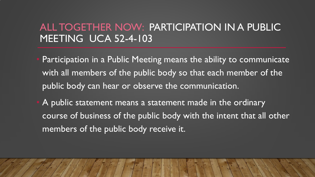## ALL TOGETHER NOW: PARTICIPATION IN A PUBLIC MEETING UCA 52-4-103

- Participation in a Public Meeting means the ability to communicate with all members of the public body so that each member of the public body can hear or observe the communication.
- A public statement means a statement made in the ordinary course of business of the public body with the intent that all other members of the public body receive it.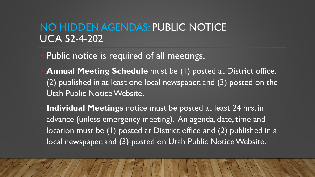# NO HIDDEN AGENDAS: PUBLIC NOTICE UCA 52-4-202

- Public notice is required of all meetings.
- **Annual Meeting Schedule** must be (1) posted at District office, (2) published in at least one local newspaper, and (3) posted on the Utah Public Notice Website.
- **Individual Meetings** notice must be posted at least 24 hrs. in advance (unless emergency meeting). An agenda, date, time and location must be (1) posted at District office and (2) published in a local newspaper, and (3) posted on Utah Public Notice Website.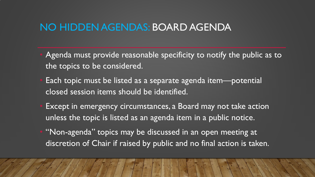### NO HIDDEN AGENDAS: BOARD AGENDA

- Agenda must provide reasonable specificity to notify the public as to the topics to be considered.
- Each topic must be listed as a separate agenda item—potential closed session items should be identified.
- Except in emergency circumstances, a Board may not take action unless the topic is listed as an agenda item in a public notice.
- "Non-agenda" topics may be discussed in an open meeting at discretion of Chair if raised by public and no final action is taken.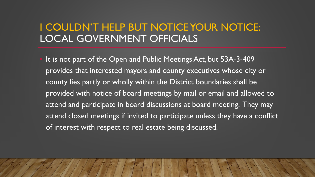## I COULDN'T HELP BUT NOTICE YOUR NOTICE: LOCAL GOVERNMENT OFFICIALS

It is not part of the Open and Public Meetings Act, but 53A-3-409 provides that interested mayors and county executives whose city or county lies partly or wholly within the District boundaries shall be provided with notice of board meetings by mail or email and allowed to attend and participate in board discussions at board meeting. They may attend closed meetings if invited to participate unless they have a conflict of interest with respect to real estate being discussed.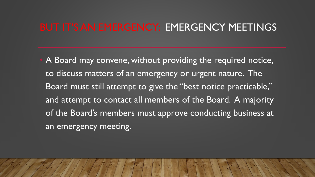### BUT IT'S AN EMERGENCY: EMERGENCY MEETINGS

A Board may convene, without providing the required notice, to discuss matters of an emergency or urgent nature. The Board must still attempt to give the "best notice practicable," and attempt to contact all members of the Board. A majority of the Board's members must approve conducting business at an emergency meeting.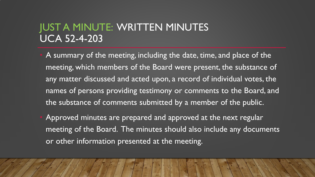## JUST A MINUTE: WRITTEN MINUTES UCA 52-4-203

- A summary of the meeting, including the date, time, and place of the meeting, which members of the Board were present, the substance of any matter discussed and acted upon, a record of individual votes, the names of persons providing testimony or comments to the Board, and the substance of comments submitted by a member of the public.
- Approved minutes are prepared and approved at the next regular meeting of the Board. The minutes should also include any documents or other information presented at the meeting.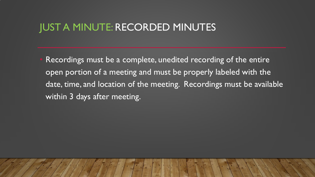#### JUST A MINUTE: RECORDED MINUTES

Recordings must be a complete, unedited recording of the entire open portion of a meeting and must be properly labeled with the date, time, and location of the meeting. Recordings must be available within 3 days after meeting.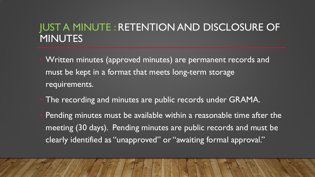# JUST A MINUTE : RETENTION AND DISCLOSURE OF MINUTES

- Written minutes (approved minutes) are permanent records and must be kept in a format that meets long-term storage requirements.
- The recording and minutes are public records under GRAMA.
- Pending minutes must be available within a reasonable time after the meeting (30 days). Pending minutes are public records and must be clearly identified as "unapproved" or "awaiting formal approval."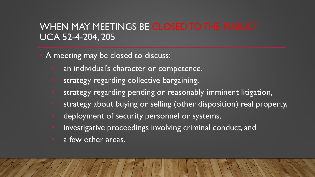### WHEN MAY MEETINGS BE CLOSED TO THE PUBLIC? UCA 52-4-204, 205

A meeting may be closed to discuss:

- an individual's character or competence,
- strategy regarding collective bargaining,
- strategy regarding pending or reasonably imminent litigation,
- strategy about buying or selling (other disposition) real property,
- deployment of security personnel or systems,
- investigative proceedings involving criminal conduct, and
- a few other areas.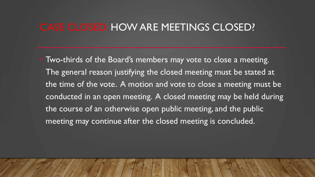### CASE CLOSED: HOW ARE MEETINGS CLOSED?

Two-thirds of the Board's members may vote to close a meeting. The general reason justifying the closed meeting must be stated at the time of the vote. A motion and vote to close a meeting must be conducted in an open meeting. A closed meeting may be held during the course of an otherwise open public meeting, and the public meeting may continue after the closed meeting is concluded.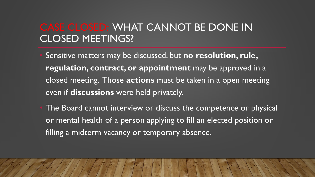## CASE CLOSED: WHAT CANNOT BE DONE IN CLOSED MEETINGS?

- Sensitive matters may be discussed, but **no resolution, rule, regulation, contract, or appointment** may be approved in a closed meeting. Those **actions** must be taken in a open meeting even if **discussions** were held privately.
- The Board cannot interview or discuss the competence or physical or mental health of a person applying to fill an elected position or filling a midterm vacancy or temporary absence.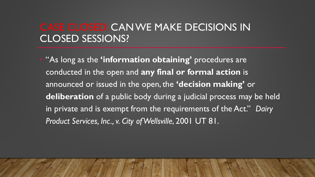## CASE CLOSED: CAN WE MAKE DECISIONS IN CLOSED SESSIONS?

• "As long as the **'information obtaining'** procedures are conducted in the open and **any final or formal action** is announced or issued in the open, the **'decision making'** or **deliberation** of a public body during a judicial process may be held in private and is exempt from the requirements of the Act." *Dairy Product Services, Inc., v. City of Wellsville*, 2001 UT 81.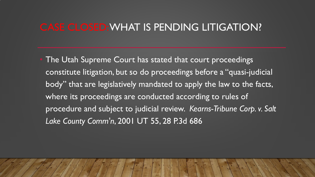### CASE CLOSED: WHAT IS PENDING LITIGATION?

The Utah Supreme Court has stated that court proceedings constitute litigation, but so do proceedings before a "quasi-judicial body" that are legislatively mandated to apply the law to the facts, where its proceedings are conducted according to rules of procedure and subject to judicial review. *Kearns-Tribune Corp. v. Salt Lake County Comm'n*, 2001 UT 55, 28 P.3d 686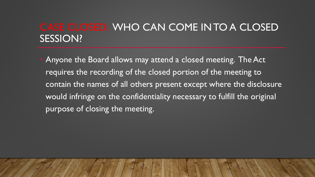# CASE CLOSED: WHO CAN COME IN TO A CLOSED SESSION?

• Anyone the Board allows may attend a closed meeting. The Act requires the recording of the closed portion of the meeting to contain the names of all others present except where the disclosure would infringe on the confidentiality necessary to fulfill the original purpose of closing the meeting.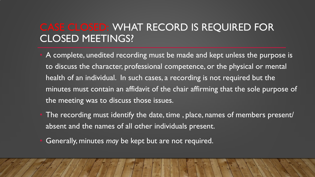# CASE CLOSED: WHAT RECORD IS REQUIRED FOR CLOSED MEETINGS?

- A complete, unedited recording must be made and kept unless the purpose is to discuss the character, professional competence, or the physical or mental health of an individual. In such cases, a recording is not required but the minutes must contain an affidavit of the chair affirming that the sole purpose of the meeting was to discuss those issues.
- The recording must identify the date, time, place, names of members present/ absent and the names of all other individuals present.
- Generally, minutes *may* be kept but are not required.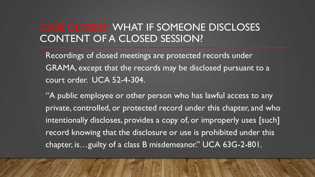## CASE CLOSED: WHAT IF SOMEONE DISCLOSES CONTENT OF A CLOSED SESSION?

Recordings of closed meetings are protected records under GRAMA, except that the records may be disclosed pursuant to a court order. UCA 52-4-304.

"A public employee or other person who has lawful access to any private, controlled, or protected record under this chapter, and who intentionally discloses, provides a copy of, or improperly uses [such] record knowing that the disclosure or use is prohibited under this chapter, is…guilty of a class B misdemeanor." UCA 63G-2-801.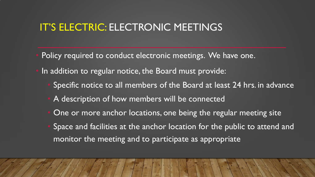### IT'S ELECTRIC: ELECTRONIC MEETINGS

- Policy required to conduct electronic meetings. We have one.
- In addition to regular notice, the Board must provide:
	- Specific notice to all members of the Board at least 24 hrs. in advance
	- A description of how members will be connected
	- One or more anchor locations, one being the regular meeting site
	- Space and facilities at the anchor location for the public to attend and monitor the meeting and to participate as appropriate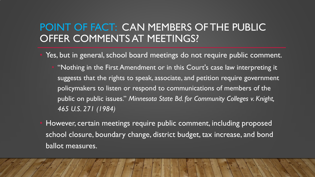# POINT OF FACT: CAN MEMBERS OF THE PUBLIC OFFER COMMENTS AT MEETINGS?

- Yes, but in general, school board meetings do not require public comment.
	- "Nothing in the First Amendment or in this Court's case law interpreting it suggests that the rights to speak, associate, and petition require government policymakers to listen or respond to communications of members of the public on public issues." *Minnesota State Bd. for Community Colleges v. Knight, 465 U.S. 271 (1984)*
- However, certain meetings require public comment, including proposed school closure, boundary change, district budget, tax increase, and bond ballot measures.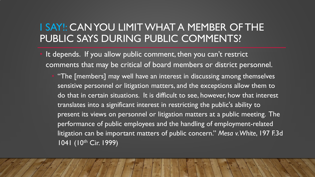## I SAY!: CAN YOU LIMIT WHAT A MEMBER OF THE PUBLIC SAYS DURING PUBLIC COMMENTS?

- It depends. If you allow public comment, then you can't restrict comments that may be critical of board members or district personnel.
	- "The [members] may well have an interest in discussing among themselves sensitive personnel or litigation matters, and the exceptions allow them to do that in certain situations. It is difficult to see, however, how that interest translates into a significant interest in restricting the public's ability to present its views on personnel or litigation matters at a public meeting. The performance of public employees and the handling of employment-related litigation can be important matters of public concern." *Mesa v. White*, 197 F.3d 1041 (10<sup>th</sup> Cir. 1999)